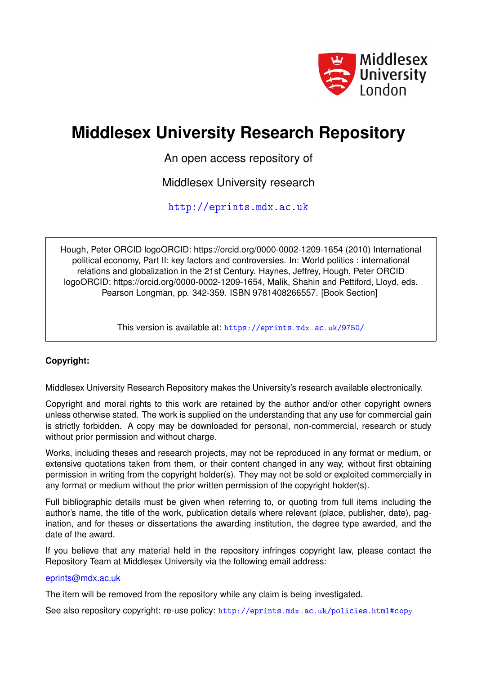

# **Middlesex University Research Repository**

An open access repository of

Middlesex University research

<http://eprints.mdx.ac.uk>

Hough, Peter ORCID logoORCID: https://orcid.org/0000-0002-1209-1654 (2010) International political economy, Part II: key factors and controversies. In: World politics : international relations and globalization in the 21st Century. Haynes, Jeffrey, Hough, Peter ORCID logoORCID: https://orcid.org/0000-0002-1209-1654, Malik, Shahin and Pettiford, Lloyd, eds. Pearson Longman, pp. 342-359. ISBN 9781408266557. [Book Section]

This version is available at: <https://eprints.mdx.ac.uk/9750/>

# **Copyright:**

Middlesex University Research Repository makes the University's research available electronically.

Copyright and moral rights to this work are retained by the author and/or other copyright owners unless otherwise stated. The work is supplied on the understanding that any use for commercial gain is strictly forbidden. A copy may be downloaded for personal, non-commercial, research or study without prior permission and without charge.

Works, including theses and research projects, may not be reproduced in any format or medium, or extensive quotations taken from them, or their content changed in any way, without first obtaining permission in writing from the copyright holder(s). They may not be sold or exploited commercially in any format or medium without the prior written permission of the copyright holder(s).

Full bibliographic details must be given when referring to, or quoting from full items including the author's name, the title of the work, publication details where relevant (place, publisher, date), pagination, and for theses or dissertations the awarding institution, the degree type awarded, and the date of the award.

If you believe that any material held in the repository infringes copyright law, please contact the Repository Team at Middlesex University via the following email address:

# [eprints@mdx.ac.uk](mailto:eprints@mdx.ac.uk)

The item will be removed from the repository while any claim is being investigated.

See also repository copyright: re-use policy: <http://eprints.mdx.ac.uk/policies.html#copy>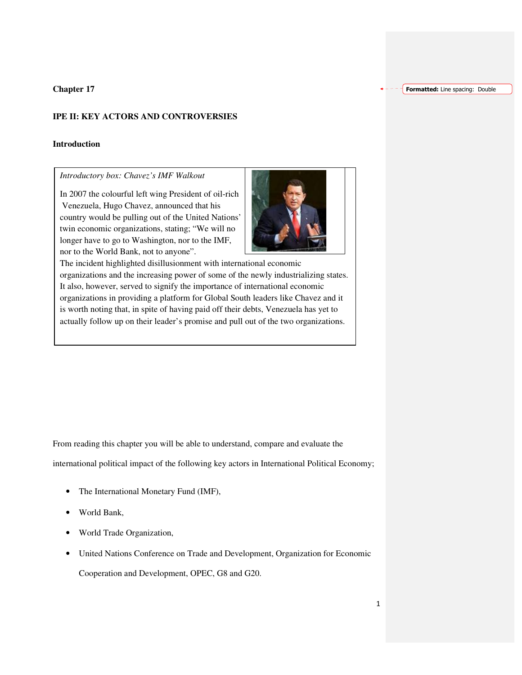**Chapter 17** 

# **IPE II: KEY ACTORS AND CONTROVERSIES**

#### **Introduction**

*Introductory box: Chavez's IMF Walkout* 

In 2007 the colourful left wing President of oil-rich Venezuela, Hugo Chavez, announced that his country would be pulling out of the United Nations' twin economic organizations, stating; "We will no longer have to go to Washington, nor to the IMF, nor to the World Bank, not to anyone".



The incident highlighted disillusionment with international economic organizations and the increasing power of some of the newly industrializing states. It also, however, served to signify the importance of international economic organizations in providing a platform for Global South leaders like Chavez and it is worth noting that, in spite of having paid off their debts, Venezuela has yet to actually follow up on their leader's promise and pull out of the two organizations.

From reading this chapter you will be able to understand, compare and evaluate the international political impact of the following key actors in International Political Economy;

- The International Monetary Fund (IMF),
- World Bank,
- World Trade Organization,
- United Nations Conference on Trade and Development, Organization for Economic Cooperation and Development, OPEC, G8 and G20.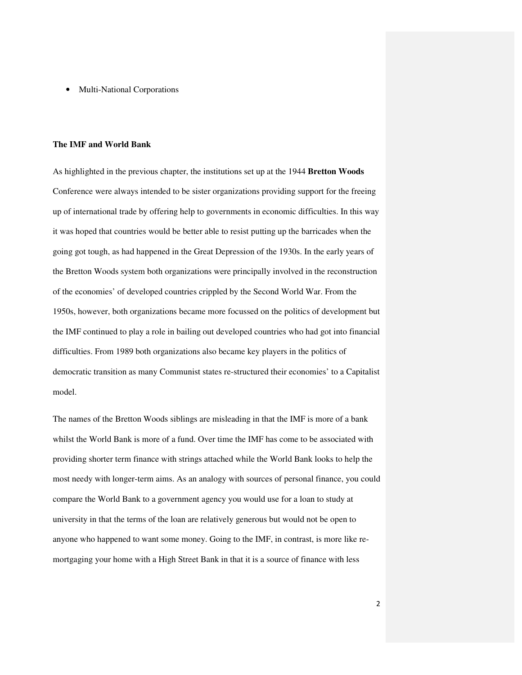• Multi-National Corporations

#### **The IMF and World Bank**

 As highlighted in the previous chapter, the institutions set up at the 1944 **Bretton Woods** Conference were always intended to be sister organizations providing support for the freeing up of international trade by offering help to governments in economic difficulties. In this way it was hoped that countries would be better able to resist putting up the barricades when the going got tough, as had happened in the Great Depression of the 1930s. In the early years of the Bretton Woods system both organizations were principally involved in the reconstruction of the economies' of developed countries crippled by the Second World War. From the 1950s, however, both organizations became more focussed on the politics of development but the IMF continued to play a role in bailing out developed countries who had got into financial difficulties. From 1989 both organizations also became key players in the politics of democratic transition as many Communist states re-structured their economies' to a Capitalist model.

 The names of the Bretton Woods siblings are misleading in that the IMF is more of a bank whilst the World Bank is more of a fund. Over time the IMF has come to be associated with providing shorter term finance with strings attached while the World Bank looks to help the most needy with longer-term aims. As an analogy with sources of personal finance, you could compare the World Bank to a government agency you would use for a loan to study at university in that the terms of the loan are relatively generous but would not be open to anyone who happened to want some money. Going to the IMF, in contrast, is more like remortgaging your home with a High Street Bank in that it is a source of finance with less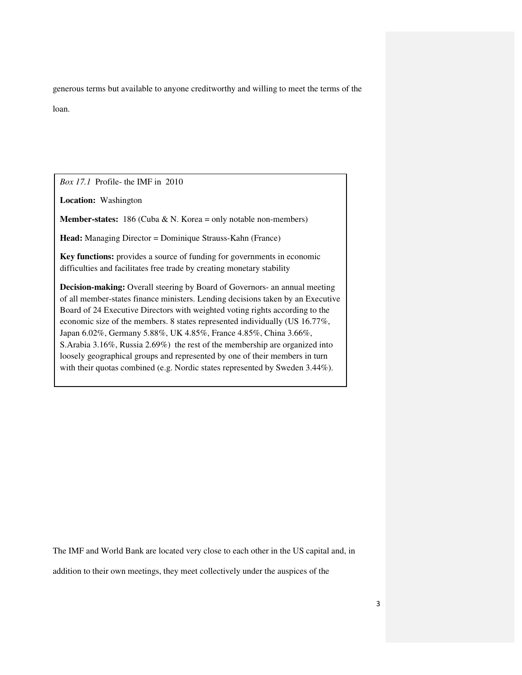generous terms but available to anyone creditworthy and willing to meet the terms of the loan.

*Box 17.1* Profile- the IMF in 2010

**Location:** Washington

**Member-states:** 186 (Cuba & N. Korea = only notable non-members)

**Head:** Managing Director = Dominique Strauss-Kahn (France)

**Key functions:** provides a source of funding for governments in economic difficulties and facilitates free trade by creating monetary stability

**Decision-making:** Overall steering by Board of Governors- an annual meeting of all member-states finance ministers. Lending decisions taken by an Executive Board of 24 Executive Directors with weighted voting rights according to the economic size of the members. 8 states represented individually (US 16.77%, Japan 6.02%, Germany 5.88%, UK 4.85%, France 4.85%, China 3.66%, S.Arabia 3.16%, Russia 2.69%) the rest of the membership are organized into loosely geographical groups and represented by one of their members in turn with their quotas combined (e.g. Nordic states represented by Sweden 3.44%).

The IMF and World Bank are located very close to each other in the US capital and, in

addition to their own meetings, they meet collectively under the auspices of the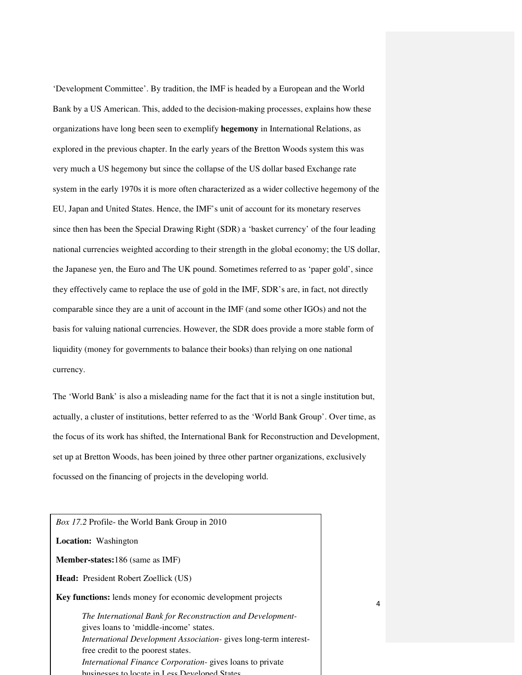'Development Committee'. By tradition, the IMF is headed by a European and the World Bank by a US American. This, added to the decision-making processes, explains how these organizations have long been seen to exemplify **hegemony** in International Relations, as explored in the previous chapter. In the early years of the Bretton Woods system this was very much a US hegemony but since the collapse of the US dollar based Exchange rate system in the early 1970s it is more often characterized as a wider collective hegemony of the EU, Japan and United States. Hence, the IMF's unit of account for its monetary reserves since then has been the Special Drawing Right (SDR) a 'basket currency' of the four leading national currencies weighted according to their strength in the global economy; the US dollar, the Japanese yen, the Euro and The UK pound. Sometimes referred to as 'paper gold', since they effectively came to replace the use of gold in the IMF, SDR's are, in fact, not directly comparable since they are a unit of account in the IMF (and some other IGOs) and not the basis for valuing national currencies. However, the SDR does provide a more stable form of liquidity (money for governments to balance their books) than relying on one national currency.

The 'World Bank' is also a misleading name for the fact that it is not a single institution but, actually, a cluster of institutions, better referred to as the 'World Bank Group'. Over time, as the focus of its work has shifted, the International Bank for Reconstruction and Development, set up at Bretton Woods, has been joined by three other partner organizations, exclusively focussed on the financing of projects in the developing world.

*Box 17.2* Profile- the World Bank Group in 2010 **Location:** Washington **Member-states:**186 (same as IMF) **Head:** President Robert Zoellick (US) **Key functions:** lends money for economic development projects *The International Bank for Reconstruction and Development*gives loans to 'middle-income' states. *International Development Association-* gives long-term interestfree credit to the poorest states. *International Finance Corporation-* gives loans to private businesses to locate in Less Developed States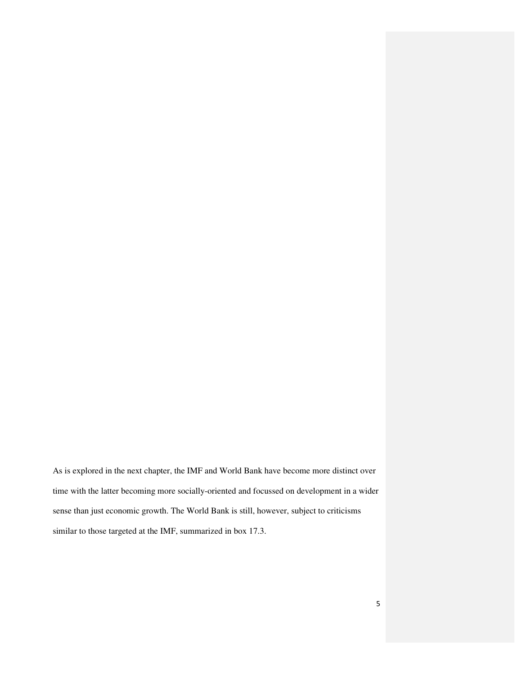As is explored in the next chapter, the IMF and World Bank have become more distinct over time with the latter becoming more socially-oriented and focussed on development in a wider sense than just economic growth. The World Bank is still, however, subject to criticisms similar to those targeted at the IMF, summarized in box 17.3.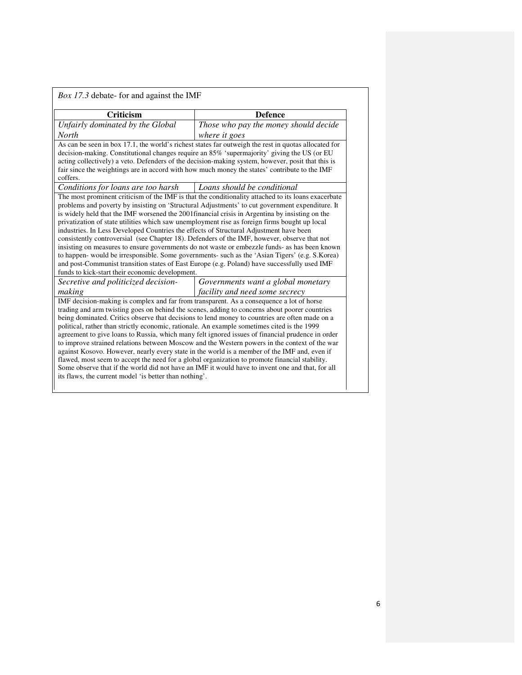| Box 17.3 debate- for and against the IMF                                                                                                                                                                                                                                                                                                                                                                                                      |                                                                                                                                                                                                                                                                                                                                                                                                                                                                                                                                                                                                          |
|-----------------------------------------------------------------------------------------------------------------------------------------------------------------------------------------------------------------------------------------------------------------------------------------------------------------------------------------------------------------------------------------------------------------------------------------------|----------------------------------------------------------------------------------------------------------------------------------------------------------------------------------------------------------------------------------------------------------------------------------------------------------------------------------------------------------------------------------------------------------------------------------------------------------------------------------------------------------------------------------------------------------------------------------------------------------|
| <b>Criticism</b>                                                                                                                                                                                                                                                                                                                                                                                                                              | <b>Defence</b>                                                                                                                                                                                                                                                                                                                                                                                                                                                                                                                                                                                           |
| Unfairly dominated by the Global                                                                                                                                                                                                                                                                                                                                                                                                              | Those who pay the money should decide                                                                                                                                                                                                                                                                                                                                                                                                                                                                                                                                                                    |
| <b>North</b>                                                                                                                                                                                                                                                                                                                                                                                                                                  | where it goes                                                                                                                                                                                                                                                                                                                                                                                                                                                                                                                                                                                            |
| coffers.                                                                                                                                                                                                                                                                                                                                                                                                                                      | As can be seen in box 17.1, the world's richest states far outweigh the rest in quotas allocated for<br>decision-making. Constitutional changes require an 85% 'supermajority' giving the US (or EU<br>acting collectively) a veto. Defenders of the decision-making system, however, posit that this is<br>fair since the weightings are in accord with how much money the states' contribute to the IMF                                                                                                                                                                                                |
| Conditions for loans are too harsh                                                                                                                                                                                                                                                                                                                                                                                                            | Loans should be conditional                                                                                                                                                                                                                                                                                                                                                                                                                                                                                                                                                                              |
| is widely held that the IMF worsened the 2001 financial crisis in Argentina by insisting on the<br>privatization of state utilities which saw unemployment rise as foreign firms bought up local<br>industries. In Less Developed Countries the effects of Structural Adjustment have been<br>consistently controversial (see Chapter 18). Defenders of the IMF, however, observe that not<br>funds to kick-start their economic development. | problems and poverty by insisting on 'Structural Adjustments' to cut government expenditure. It<br>insisting on measures to ensure governments do not waste or embezzle funds- as has been known<br>to happen- would be irresponsible. Some governments- such as the 'Asian Tigers' (e.g. S.Korea)<br>and post-Communist transition states of East Europe (e.g. Poland) have successfully used IMF                                                                                                                                                                                                       |
| Secretive and politicized decision-                                                                                                                                                                                                                                                                                                                                                                                                           | Governments want a global monetary                                                                                                                                                                                                                                                                                                                                                                                                                                                                                                                                                                       |
| making                                                                                                                                                                                                                                                                                                                                                                                                                                        | facility and need some secrecy                                                                                                                                                                                                                                                                                                                                                                                                                                                                                                                                                                           |
| IMF decision-making is complex and far from transparent. As a consequence a lot of horse<br>political, rather than strictly economic, rationale. An example sometimes cited is the 1999<br>flawed, most seem to accept the need for a global organization to promote financial stability.<br>its flaws, the current model 'is better than nothing'.                                                                                           | trading and arm twisting goes on behind the scenes, adding to concerns about poorer countries<br>being dominated. Critics observe that decisions to lend money to countries are often made on a<br>agreement to give loans to Russia, which many felt ignored issues of financial prudence in order<br>to improve strained relations between Moscow and the Western powers in the context of the war<br>against Kosovo. However, nearly every state in the world is a member of the IMF and, even if<br>Some observe that if the world did not have an IMF it would have to invent one and that, for all |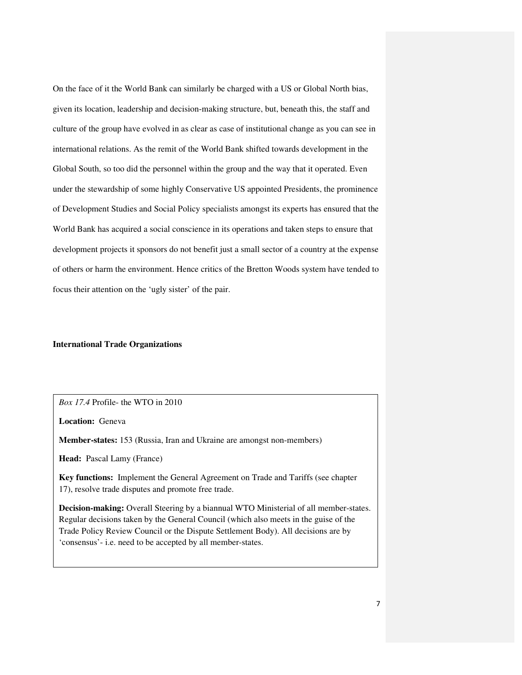On the face of it the World Bank can similarly be charged with a US or Global North bias, given its location, leadership and decision-making structure, but, beneath this, the staff and culture of the group have evolved in as clear as case of institutional change as you can see in international relations. As the remit of the World Bank shifted towards development in the Global South, so too did the personnel within the group and the way that it operated. Even under the stewardship of some highly Conservative US appointed Presidents, the prominence of Development Studies and Social Policy specialists amongst its experts has ensured that the World Bank has acquired a social conscience in its operations and taken steps to ensure that development projects it sponsors do not benefit just a small sector of a country at the expense of others or harm the environment. Hence critics of the Bretton Woods system have tended to focus their attention on the 'ugly sister' of the pair.

#### **International Trade Organizations**

*Box 17.4* Profile- the WTO in 2010

**Location:** Geneva

**Member-states:** 153 (Russia, Iran and Ukraine are amongst non-members)

**Head:** Pascal Lamy (France)

**Key functions:** Implement the General Agreement on Trade and Tariffs (see chapter 17), resolve trade disputes and promote free trade.

**Decision-making:** Overall Steering by a biannual WTO Ministerial of all member-states. Regular decisions taken by the General Council (which also meets in the guise of the Trade Policy Review Council or the Dispute Settlement Body). All decisions are by 'consensus'- i.e. need to be accepted by all member-states.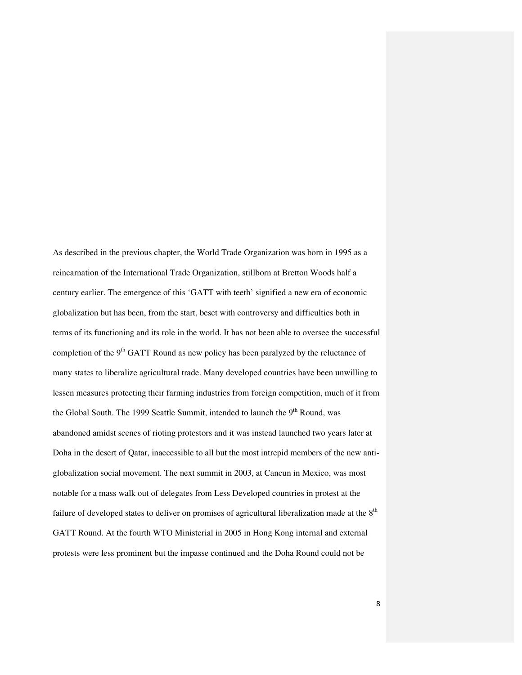As described in the previous chapter, the World Trade Organization was born in 1995 as a reincarnation of the International Trade Organization, stillborn at Bretton Woods half a century earlier. The emergence of this 'GATT with teeth' signified a new era of economic globalization but has been, from the start, beset with controversy and difficulties both in terms of its functioning and its role in the world. It has not been able to oversee the successful completion of the  $9<sup>th</sup> GATT$  Round as new policy has been paralyzed by the reluctance of many states to liberalize agricultural trade. Many developed countries have been unwilling to lessen measures protecting their farming industries from foreign competition, much of it from the Global South. The 1999 Seattle Summit, intended to launch the  $9<sup>th</sup>$  Round, was abandoned amidst scenes of rioting protestors and it was instead launched two years later at Doha in the desert of Qatar, inaccessible to all but the most intrepid members of the new antiglobalization social movement. The next summit in 2003, at Cancun in Mexico, was most notable for a mass walk out of delegates from Less Developed countries in protest at the failure of developed states to deliver on promises of agricultural liberalization made at the 8<sup>th</sup> GATT Round. At the fourth WTO Ministerial in 2005 in Hong Kong internal and external protests were less prominent but the impasse continued and the Doha Round could not be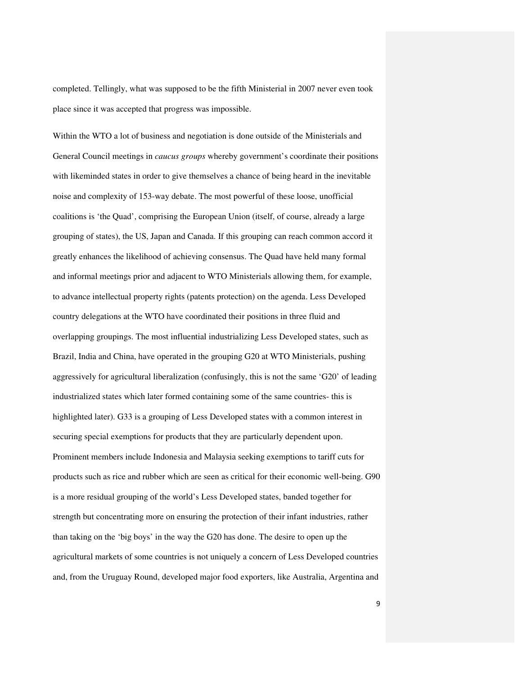completed. Tellingly, what was supposed to be the fifth Ministerial in 2007 never even took place since it was accepted that progress was impossible.

Within the WTO a lot of business and negotiation is done outside of the Ministerials and General Council meetings in *caucus groups* whereby government's coordinate their positions with likeminded states in order to give themselves a chance of being heard in the inevitable noise and complexity of 153-way debate. The most powerful of these loose, unofficial coalitions is 'the Quad', comprising the European Union (itself, of course, already a large grouping of states), the US, Japan and Canada. If this grouping can reach common accord it greatly enhances the likelihood of achieving consensus. The Quad have held many formal and informal meetings prior and adjacent to WTO Ministerials allowing them, for example, to advance intellectual property rights (patents protection) on the agenda. Less Developed country delegations at the WTO have coordinated their positions in three fluid and overlapping groupings. The most influential industrializing Less Developed states, such as Brazil, India and China, have operated in the grouping G20 at WTO Ministerials, pushing aggressively for agricultural liberalization (confusingly, this is not the same 'G20' of leading industrialized states which later formed containing some of the same countries- this is highlighted later). G33 is a grouping of Less Developed states with a common interest in securing special exemptions for products that they are particularly dependent upon. Prominent members include Indonesia and Malaysia seeking exemptions to tariff cuts for products such as rice and rubber which are seen as critical for their economic well-being. G90 is a more residual grouping of the world's Less Developed states, banded together for strength but concentrating more on ensuring the protection of their infant industries, rather than taking on the 'big boys' in the way the G20 has done. The desire to open up the agricultural markets of some countries is not uniquely a concern of Less Developed countries and, from the Uruguay Round, developed major food exporters, like Australia, Argentina and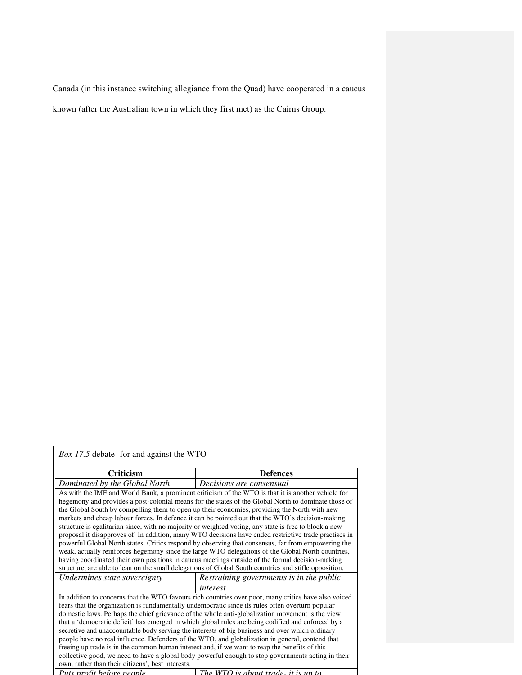Canada (in this instance switching allegiance from the Quad) have cooperated in a caucus known (after the Australian town in which they first met) as the Cairns Group.

| <i>Box 17.5</i> debate- for and against the WTO                                               |                                                                                                       |
|-----------------------------------------------------------------------------------------------|-------------------------------------------------------------------------------------------------------|
| <b>Criticism</b>                                                                              | <b>Defences</b>                                                                                       |
| Dominated by the Global North                                                                 | Decisions are consensual                                                                              |
|                                                                                               | As with the IMF and World Bank, a prominent criticism of the WTO is that it is another vehicle for    |
|                                                                                               | hegemony and provides a post-colonial means for the states of the Global North to dominate those of   |
|                                                                                               | the Global South by compelling them to open up their economies, providing the North with new          |
|                                                                                               | markets and cheap labour forces. In defence it can be pointed out that the WTO's decision-making      |
|                                                                                               | structure is egalitarian since, with no majority or weighted voting, any state is free to block a new |
|                                                                                               | proposal it disapproves of. In addition, many WTO decisions have ended restrictive trade practises in |
|                                                                                               | powerful Global North states. Critics respond by observing that consensus, far from empowering the    |
|                                                                                               | weak, actually reinforces hegemony since the large WTO delegations of the Global North countries,     |
|                                                                                               | having coordinated their own positions in caucus meetings outside of the formal decision-making       |
|                                                                                               | structure, are able to lean on the small delegations of Global South countries and stifle opposition. |
| Undermines state sovereignty                                                                  | Restraining governments is in the public                                                              |
|                                                                                               | interest                                                                                              |
|                                                                                               | In addition to concerns that the WTO favours rich countries over poor, many critics have also voiced  |
|                                                                                               | fears that the organization is fundamentally undemocratic since its rules often overturn popular      |
|                                                                                               | domestic laws. Perhaps the chief grievance of the whole anti-globalization movement is the view       |
|                                                                                               | that a 'democratic deficit' has emerged in which global rules are being codified and enforced by a    |
|                                                                                               | secretive and unaccountable body serving the interests of big business and over which ordinary        |
|                                                                                               | people have no real influence. Defenders of the WTO, and globalization in general, contend that       |
| freeing up trade is in the common human interest and, if we want to reap the benefits of this |                                                                                                       |
|                                                                                               | collective good, we need to have a global body powerful enough to stop governments acting in their    |
| own, rather than their citizens', best interests.                                             |                                                                                                       |
| Puts profit before people                                                                     | The WTO is about trade- it is un to                                                                   |

10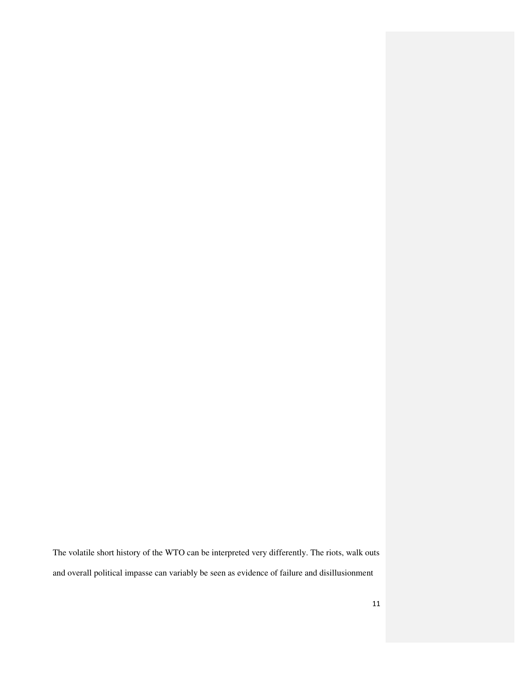The volatile short history of the WTO can be interpreted very differently. The riots, walk outs and overall political impasse can variably be seen as evidence of failure and disillusionment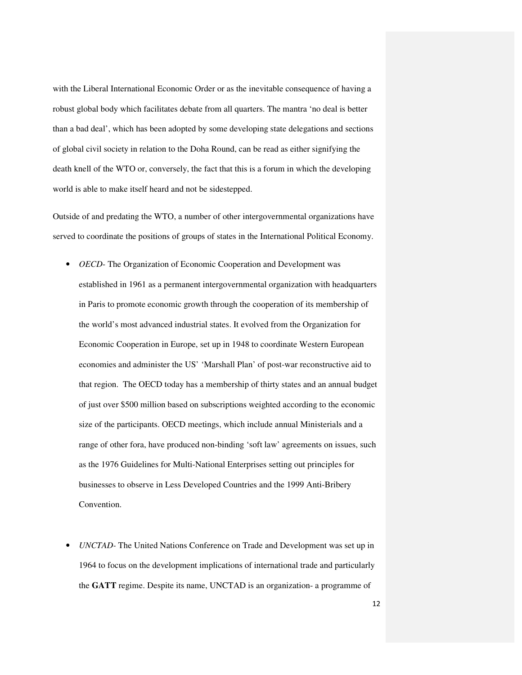with the Liberal International Economic Order or as the inevitable consequence of having a robust global body which facilitates debate from all quarters. The mantra 'no deal is better than a bad deal', which has been adopted by some developing state delegations and sections of global civil society in relation to the Doha Round, can be read as either signifying the death knell of the WTO or, conversely, the fact that this is a forum in which the developing world is able to make itself heard and not be sidestepped.

Outside of and predating the WTO, a number of other intergovernmental organizations have served to coordinate the positions of groups of states in the International Political Economy.

- *OECD* The Organization of Economic Cooperation and Development was established in 1961 as a permanent intergovernmental organization with headquarters in Paris to promote economic growth through the cooperation of its membership of the world's most advanced industrial states. It evolved from the Organization for Economic Cooperation in Europe, set up in 1948 to coordinate Western European economies and administer the US' 'Marshall Plan' of post-war reconstructive aid to that region. The OECD today has a membership of thirty states and an annual budget of just over \$500 million based on subscriptions weighted according to the economic size of the participants. OECD meetings, which include annual Ministerials and a range of other fora, have produced non-binding 'soft law' agreements on issues, such as the 1976 Guidelines for Multi-National Enterprises setting out principles for businesses to observe in Less Developed Countries and the 1999 Anti-Bribery Convention.
- *UNCTAD-* The United Nations Conference on Trade and Development was set up in 1964 to focus on the development implications of international trade and particularly the **GATT** regime. Despite its name, UNCTAD is an organization- a programme of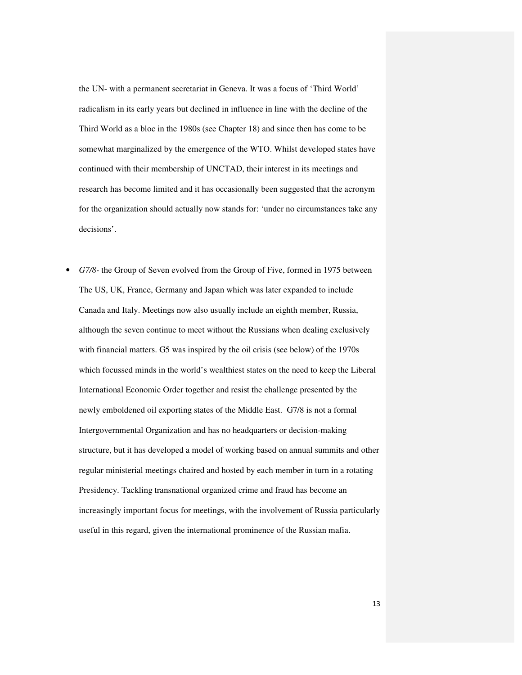the UN- with a permanent secretariat in Geneva. It was a focus of 'Third World' radicalism in its early years but declined in influence in line with the decline of the Third World as a bloc in the 1980s (see Chapter 18) and since then has come to be somewhat marginalized by the emergence of the WTO. Whilst developed states have continued with their membership of UNCTAD, their interest in its meetings and research has become limited and it has occasionally been suggested that the acronym for the organization should actually now stands for: 'under no circumstances take any decisions'.

• *G7/8-* the Group of Seven evolved from the Group of Five, formed in 1975 between The US, UK, France, Germany and Japan which was later expanded to include Canada and Italy. Meetings now also usually include an eighth member, Russia, although the seven continue to meet without the Russians when dealing exclusively with financial matters. G5 was inspired by the oil crisis (see below) of the 1970s which focussed minds in the world's wealthiest states on the need to keep the Liberal International Economic Order together and resist the challenge presented by the newly emboldened oil exporting states of the Middle East. G7/8 is not a formal Intergovernmental Organization and has no headquarters or decision-making structure, but it has developed a model of working based on annual summits and other regular ministerial meetings chaired and hosted by each member in turn in a rotating Presidency. Tackling transnational organized crime and fraud has become an increasingly important focus for meetings, with the involvement of Russia particularly useful in this regard, given the international prominence of the Russian mafia.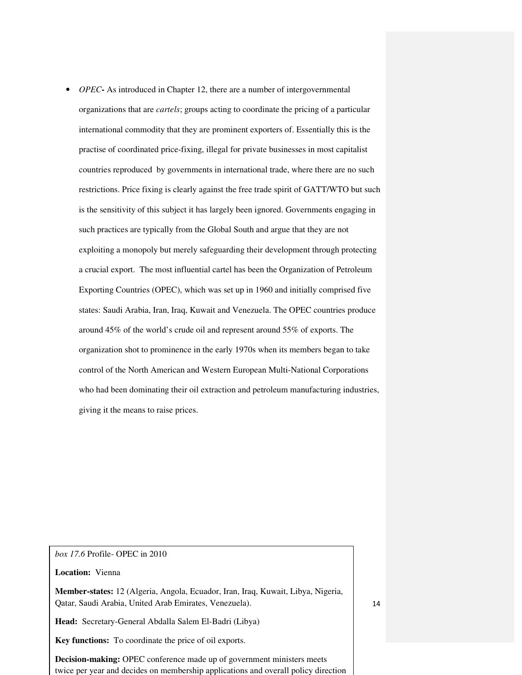• *OPEC* - As introduced in Chapter 12, there are a number of intergovernmental organizations that are *cartels*; groups acting to coordinate the pricing of a particular international commodity that they are prominent exporters of. Essentially this is the practise of coordinated price-fixing, illegal for private businesses in most capitalist countries reproduced by governments in international trade, where there are no such restrictions. Price fixing is clearly against the free trade spirit of GATT/WTO but such is the sensitivity of this subject it has largely been ignored. Governments engaging in such practices are typically from the Global South and argue that they are not exploiting a monopoly but merely safeguarding their development through protecting a crucial export. The most influential cartel has been the Organization of Petroleum Exporting Countries (OPEC), which was set up in 1960 and initially comprised five states: Saudi Arabia, Iran, Iraq, Kuwait and Venezuela. The OPEC countries produce around 45% of the world's crude oil and represent around 55% of exports. The organization shot to prominence in the early 1970s when its members began to take control of the North American and Western European Multi-National Corporations who had been dominating their oil extraction and petroleum manufacturing industries, giving it the means to raise prices.

*box 17.6* Profile- OPEC in 2010

**Location:** Vienna

**Member-states:** 12 (Algeria, Angola, Ecuador, Iran, Iraq, Kuwait, Libya, Nigeria, Qatar, Saudi Arabia, United Arab Emirates, Venezuela).

**Head:** Secretary-General Abdalla Salem El-Badri (Libya)

**Key functions:** To coordinate the price of oil exports.

**Decision-making:** OPEC conference made up of government ministers meets twice per year and decides on membership applications and overall policy direction 14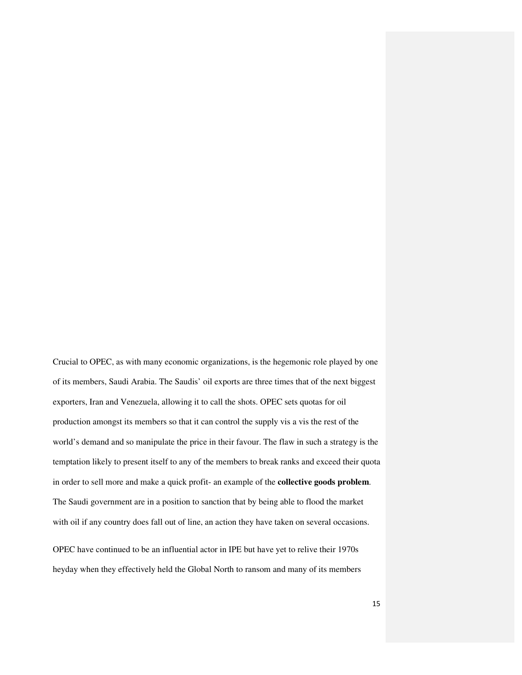Crucial to OPEC, as with many economic organizations, is the hegemonic role played by one of its members, Saudi Arabia. The Saudis' oil exports are three times that of the next biggest exporters, Iran and Venezuela, allowing it to call the shots. OPEC sets quotas for oil production amongst its members so that it can control the supply vis a vis the rest of the world's demand and so manipulate the price in their favour. The flaw in such a strategy is the temptation likely to present itself to any of the members to break ranks and exceed their quota in order to sell more and make a quick profit- an example of the **collective goods problem**. The Saudi government are in a position to sanction that by being able to flood the market with oil if any country does fall out of line, an action they have taken on several occasions.

OPEC have continued to be an influential actor in IPE but have yet to relive their 1970s heyday when they effectively held the Global North to ransom and many of its members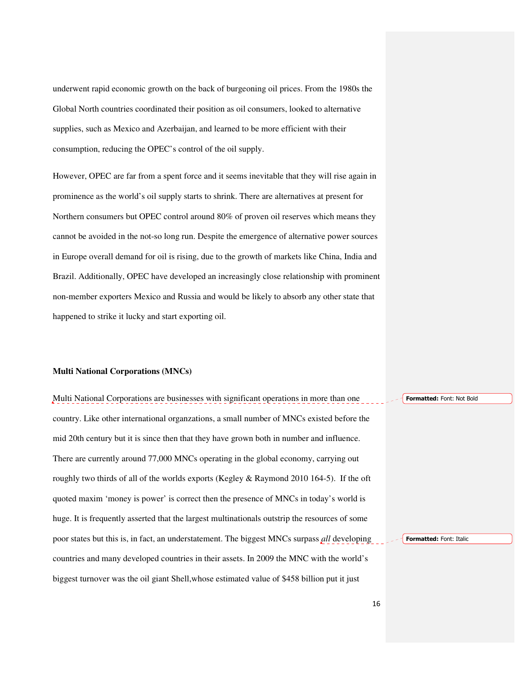underwent rapid economic growth on the back of burgeoning oil prices. From the 1980s the Global North countries coordinated their position as oil consumers, looked to alternative supplies, such as Mexico and Azerbaijan, and learned to be more efficient with their consumption, reducing the OPEC's control of the oil supply.

However, OPEC are far from a spent force and it seems inevitable that they will rise again in prominence as the world's oil supply starts to shrink. There are alternatives at present for Northern consumers but OPEC control around 80% of proven oil reserves which means they cannot be avoided in the not-so long run. Despite the emergence of alternative power sources in Europe overall demand for oil is rising, due to the growth of markets like China, India and Brazil. Additionally, OPEC have developed an increasingly close relationship with prominent non-member exporters Mexico and Russia and would be likely to absorb any other state that happened to strike it lucky and start exporting oil.

#### **Multi National Corporations (MNCs)**

Multi National Corporations are businesses with significant operations in more than one country. Like other international organzations, a small number of MNCs existed before the mid 20th century but it is since then that they have grown both in number and influence. There are currently around 77,000 MNCs operating in the global economy, carrying out roughly two thirds of all of the worlds exports (Kegley & Raymond 2010 164-5). If the oft quoted maxim 'money is power' is correct then the presence of MNCs in today's world is huge. It is frequently asserted that the largest multinationals outstrip the resources of some poor states but this is, in fact, an understatement. The biggest MNCs surpass *all* developing countries and many developed countries in their assets. In 2009 the MNC with the world's biggest turnover was the oil giant Shell,whose estimated value of \$458 billion put it just Formatted: Font: Not Bold Formatted: Font: Italic

16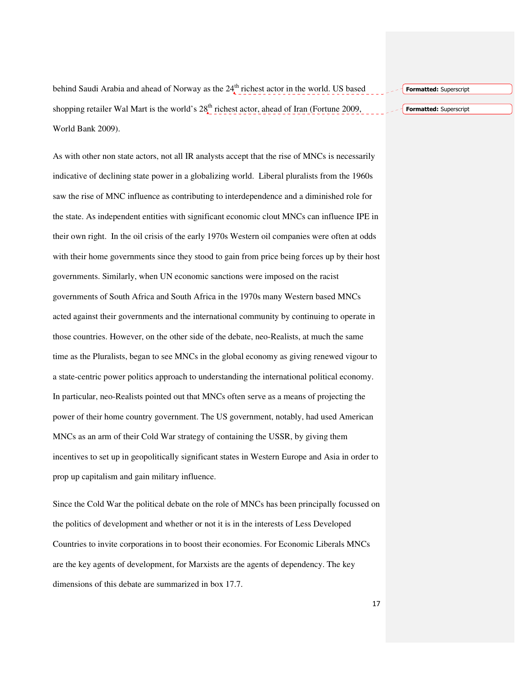behind Saudi Arabia and ahead of Norway as the  $24<sup>th</sup>$  richest actor in the world. US based shopping retailer Wal Mart is the world's  $28<sub>a</sub><sup>th</sup>$  richest actor, ahead of Iran (Fortune 2009, World Bank 2009).

As with other non state actors, not all IR analysts accept that the rise of MNCs is necessarily indicative of declining state power in a globalizing world. Liberal pluralists from the 1960s saw the rise of MNC influence as contributing to interdependence and a diminished role for the state. As independent entities with significant economic clout MNCs can influence IPE in their own right. In the oil crisis of the early 1970s Western oil companies were often at odds with their home governments since they stood to gain from price being forces up by their host governments. Similarly, when UN economic sanctions were imposed on the racist governments of South Africa and South Africa in the 1970s many Western based MNCs acted against their governments and the international community by continuing to operate in those countries. However, on the other side of the debate, neo-Realists, at much the same time as the Pluralists, began to see MNCs in the global economy as giving renewed vigour to a state-centric power politics approach to understanding the international political economy. In particular, neo-Realists pointed out that MNCs often serve as a means of projecting the power of their home country government. The US government, notably, had used American MNCs as an arm of their Cold War strategy of containing the USSR, by giving them incentives to set up in geopolitically significant states in Western Europe and Asia in order to prop up capitalism and gain military influence.

Since the Cold War the political debate on the role of MNCs has been principally focussed on the politics of development and whether or not it is in the interests of Less Developed Countries to invite corporations in to boost their economies. For Economic Liberals MNCs are the key agents of development, for Marxists are the agents of dependency. The key dimensions of this debate are summarized in box 17.7.

Formatted: Superscript

Formatted: Superscript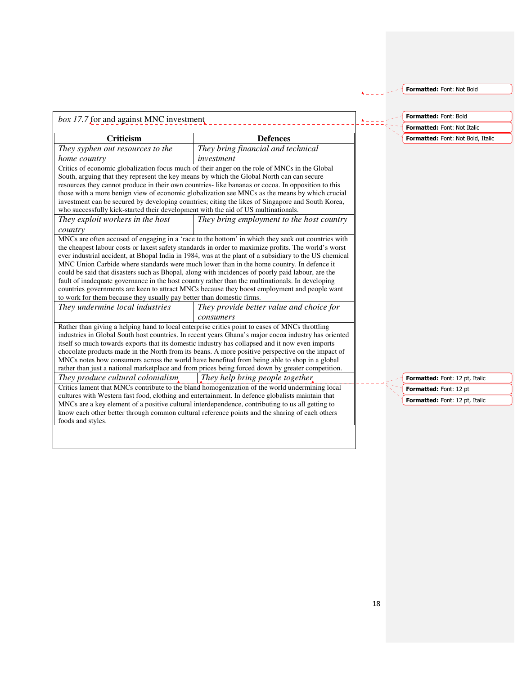Formatted: Font: Not Bold

| <b>Criticism</b>                                                                                                                                                                | <b>Defences</b>                                                                                                                                                                                                                                                                                                                                                                                                                                                                                                                                                                                                      |
|---------------------------------------------------------------------------------------------------------------------------------------------------------------------------------|----------------------------------------------------------------------------------------------------------------------------------------------------------------------------------------------------------------------------------------------------------------------------------------------------------------------------------------------------------------------------------------------------------------------------------------------------------------------------------------------------------------------------------------------------------------------------------------------------------------------|
| They syphen out resources to the                                                                                                                                                | They bring financial and technical                                                                                                                                                                                                                                                                                                                                                                                                                                                                                                                                                                                   |
| home country                                                                                                                                                                    | investment                                                                                                                                                                                                                                                                                                                                                                                                                                                                                                                                                                                                           |
| South, arguing that they represent the key means by which the Global North can can secure<br>who successfully kick-started their development with the aid of US multinationals. | Critics of economic globalization focus much of their anger on the role of MNCs in the Global<br>resources they cannot produce in their own countries-like bananas or cocoa. In opposition to this<br>those with a more benign view of economic globalization see MNCs as the means by which crucial<br>investment can be secured by developing countries; citing the likes of Singapore and South Korea,                                                                                                                                                                                                            |
| They exploit workers in the host                                                                                                                                                | They bring employment to the host country                                                                                                                                                                                                                                                                                                                                                                                                                                                                                                                                                                            |
| country                                                                                                                                                                         |                                                                                                                                                                                                                                                                                                                                                                                                                                                                                                                                                                                                                      |
| to work for them because they usually pay better than domestic firms.                                                                                                           | ever industrial accident, at Bhopal India in 1984, was at the plant of a subsidiary to the US chemical<br>MNC Union Carbide where standards were much lower than in the home country. In defence it<br>could be said that disasters such as Bhopal, along with incidences of poorly paid labour, are the<br>fault of inadequate governance in the host country rather than the multinationals. In developing<br>countries governments are keen to attract MNCs because they boost employment and people want                                                                                                         |
| They undermine local industries                                                                                                                                                 | They provide better value and choice for                                                                                                                                                                                                                                                                                                                                                                                                                                                                                                                                                                             |
|                                                                                                                                                                                 | consumers                                                                                                                                                                                                                                                                                                                                                                                                                                                                                                                                                                                                            |
|                                                                                                                                                                                 | Rather than giving a helping hand to local enterprise critics point to cases of MNCs throttling<br>industries in Global South host countries. In recent years Ghana's major cocoa industry has oriented<br>itself so much towards exports that its domestic industry has collapsed and it now even imports<br>chocolate products made in the North from its beans. A more positive perspective on the impact of<br>MNCs notes how consumers across the world have benefited from being able to shop in a global<br>rather than just a national marketplace and from prices being forced down by greater competition. |
| They produce cultural colonialism,                                                                                                                                              | They help bring people together                                                                                                                                                                                                                                                                                                                                                                                                                                                                                                                                                                                      |
|                                                                                                                                                                                 | Critics lament that MNCs contribute to the bland homogenization of the world undermining local<br>cultures with Western fast food, clothing and entertainment. In defence globalists maintain that<br>MNCs are a key element of a positive cultural interdependence, contributing to us all getting to                                                                                                                                                                                                                                                                                                               |

Formatted: Font: Bold

Formatted: Font: Not Italic

Formatted: Font: Not Bold, Italic

Formatted: Font: 12 pt, Italic Formatted: Font: 12 pt Formatted: Font: 12 pt, Italic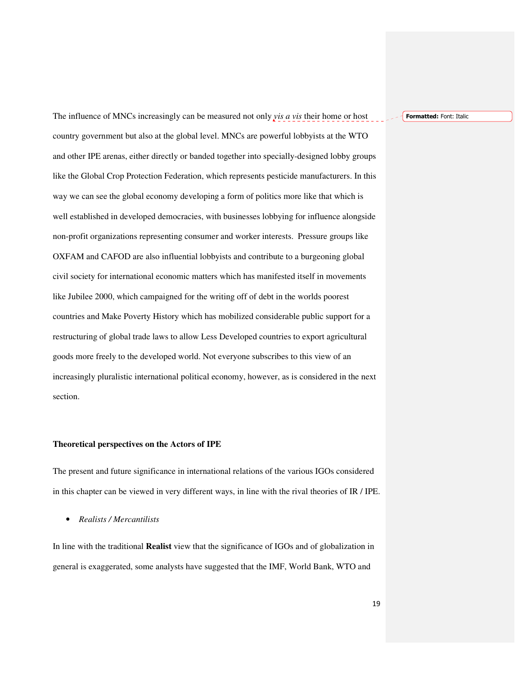Formatted: Font: Italic

 The influence of MNCs increasingly can be measured not only *vis a vis* their home or host country government but also at the global level. MNCs are powerful lobbyists at the WTO and other IPE arenas, either directly or banded together into specially-designed lobby groups like the Global Crop Protection Federation, which represents pesticide manufacturers. In this way we can see the global economy developing a form of politics more like that which is well established in developed democracies, with businesses lobbying for influence alongside non-profit organizations representing consumer and worker interests. Pressure groups like OXFAM and CAFOD are also influential lobbyists and contribute to a burgeoning global civil society for international economic matters which has manifested itself in movements like Jubilee 2000, which campaigned for the writing off of debt in the worlds poorest countries and Make Poverty History which has mobilized considerable public support for a restructuring of global trade laws to allow Less Developed countries to export agricultural goods more freely to the developed world. Not everyone subscribes to this view of an increasingly pluralistic international political economy, however, as is considered in the next section.

#### **Theoretical perspectives on the Actors of IPE**

The present and future significance in international relations of the various IGOs considered in this chapter can be viewed in very different ways, in line with the rival theories of IR / IPE.

• *Realists / Mercantilists* 

In line with the traditional **Realist** view that the significance of IGOs and of globalization in general is exaggerated, some analysts have suggested that the IMF, World Bank, WTO and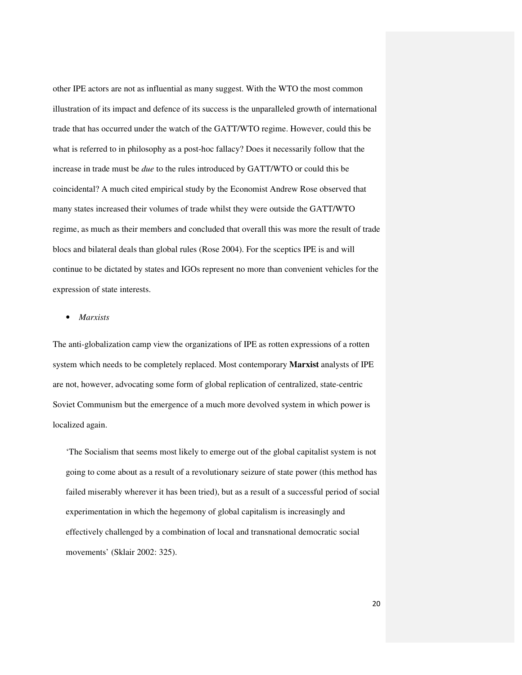other IPE actors are not as influential as many suggest. With the WTO the most common illustration of its impact and defence of its success is the unparalleled growth of international trade that has occurred under the watch of the GATT/WTO regime. However, could this be what is referred to in philosophy as a post-hoc fallacy? Does it necessarily follow that the increase in trade must be *due* to the rules introduced by GATT/WTO or could this be coincidental? A much cited empirical study by the Economist Andrew Rose observed that many states increased their volumes of trade whilst they were outside the GATT/WTO regime, as much as their members and concluded that overall this was more the result of trade blocs and bilateral deals than global rules (Rose 2004). For the sceptics IPE is and will continue to be dictated by states and IGOs represent no more than convenient vehicles for the expression of state interests.

### • *Marxists*

The anti-globalization camp view the organizations of IPE as rotten expressions of a rotten system which needs to be completely replaced. Most contemporary **Marxist** analysts of IPE are not, however, advocating some form of global replication of centralized, state-centric Soviet Communism but the emergence of a much more devolved system in which power is localized again.

'The Socialism that seems most likely to emerge out of the global capitalist system is not going to come about as a result of a revolutionary seizure of state power (this method has failed miserably wherever it has been tried), but as a result of a successful period of social experimentation in which the hegemony of global capitalism is increasingly and effectively challenged by a combination of local and transnational democratic social movements' (Sklair 2002: 325).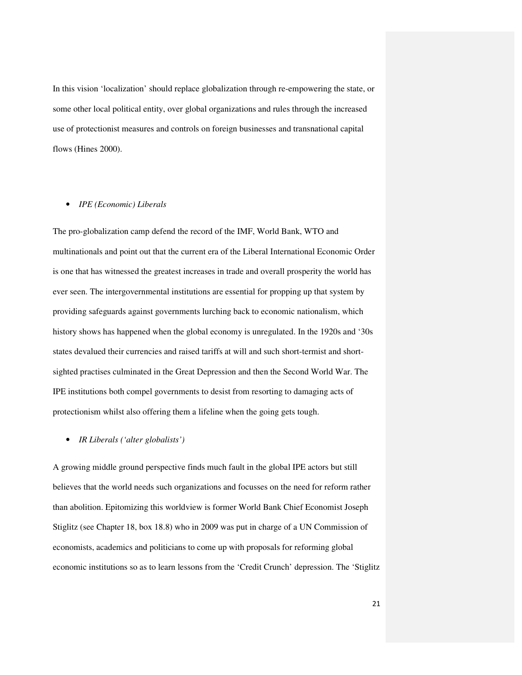In this vision 'localization' should replace globalization through re-empowering the state, or some other local political entity, over global organizations and rules through the increased use of protectionist measures and controls on foreign businesses and transnational capital flows (Hines 2000).

#### • *IPE (Economic) Liberals*

The pro-globalization camp defend the record of the IMF, World Bank, WTO and multinationals and point out that the current era of the Liberal International Economic Order is one that has witnessed the greatest increases in trade and overall prosperity the world has ever seen. The intergovernmental institutions are essential for propping up that system by providing safeguards against governments lurching back to economic nationalism, which history shows has happened when the global economy is unregulated. In the 1920s and '30s states devalued their currencies and raised tariffs at will and such short-termist and shortsighted practises culminated in the Great Depression and then the Second World War. The IPE institutions both compel governments to desist from resorting to damaging acts of protectionism whilst also offering them a lifeline when the going gets tough.

#### • *IR Liberals ('alter globalists')*

A growing middle ground perspective finds much fault in the global IPE actors but still believes that the world needs such organizations and focusses on the need for reform rather than abolition. Epitomizing this worldview is former World Bank Chief Economist Joseph Stiglitz (see Chapter 18, box 18.8) who in 2009 was put in charge of a UN Commission of economists, academics and politicians to come up with proposals for reforming global economic institutions so as to learn lessons from the 'Credit Crunch' depression. The 'Stiglitz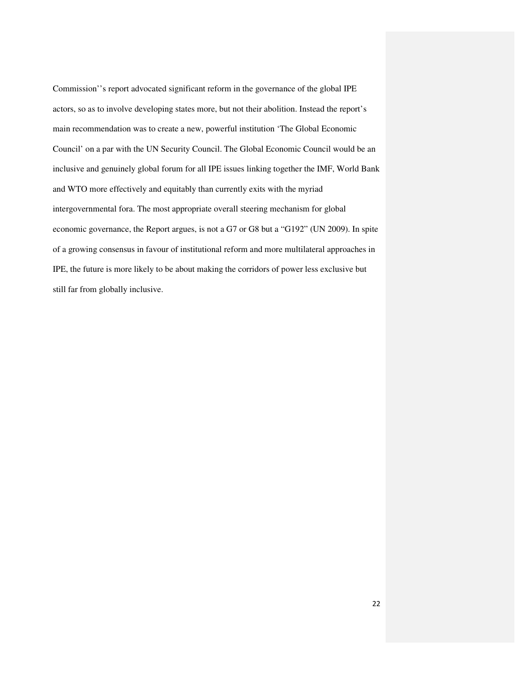Commission''s report advocated significant reform in the governance of the global IPE actors, so as to involve developing states more, but not their abolition. Instead the report's main recommendation was to create a new, powerful institution 'The Global Economic Council' on a par with the UN Security Council. The Global Economic Council would be an inclusive and genuinely global forum for all IPE issues linking together the IMF, World Bank and WTO more effectively and equitably than currently exits with the myriad intergovernmental fora. The most appropriate overall steering mechanism for global economic governance, the Report argues, is not a G7 or G8 but a "G192" (UN 2009). In spite of a growing consensus in favour of institutional reform and more multilateral approaches in IPE, the future is more likely to be about making the corridors of power less exclusive but still far from globally inclusive.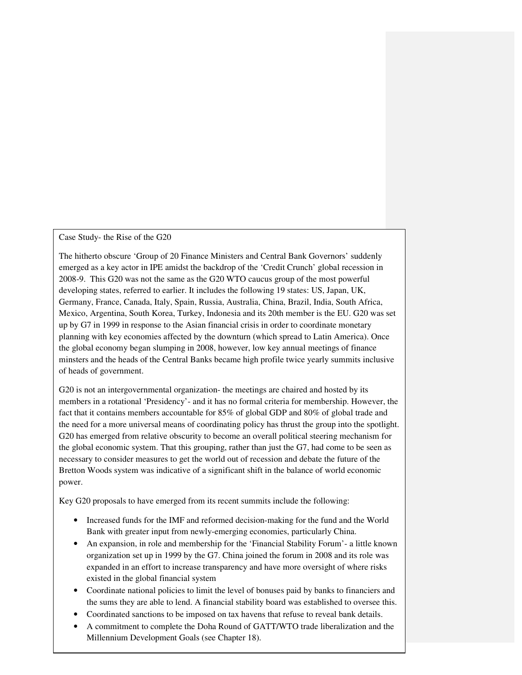Case Study- the Rise of the G20

The hitherto obscure 'Group of 20 Finance Ministers and Central Bank Governors' suddenly emerged as a key actor in IPE amidst the backdrop of the 'Credit Crunch' global recession in 2008-9. This G20 was not the same as the G20 WTO caucus group of the most powerful developing states, referred to earlier. It includes the following 19 states: US, Japan, UK, Germany, France, Canada, Italy, Spain, Russia, Australia, China, Brazil, India, South Africa, Mexico, Argentina, South Korea, Turkey, Indonesia and its 20th member is the EU. G20 was set up by G7 in 1999 in response to the Asian financial crisis in order to coordinate monetary planning with key economies affected by the downturn (which spread to Latin America). Once the global economy began slumping in 2008, however, low key annual meetings of finance minsters and the heads of the Central Banks became high profile twice yearly summits inclusive of heads of government.

G20 is not an intergovernmental organization- the meetings are chaired and hosted by its members in a rotational 'Presidency'- and it has no formal criteria for membership. However, the fact that it contains members accountable for 85% of global GDP and 80% of global trade and the need for a more universal means of coordinating policy has thrust the group into the spotlight. G20 has emerged from relative obscurity to become an overall political steering mechanism for the global economic system. That this grouping, rather than just the G7, had come to be seen as necessary to consider measures to get the world out of recession and debate the future of the Bretton Woods system was indicative of a significant shift in the balance of world economic power.

Key G20 proposals to have emerged from its recent summits include the following:

- Increased funds for the IMF and reformed decision-making for the fund and the World Bank with greater input from newly-emerging economies, particularly China.
- An expansion, in role and membership for the 'Financial Stability Forum'- a little known organization set up in 1999 by the G7. China joined the forum in 2008 and its role was expanded in an effort to increase transparency and have more oversight of where risks existed in the global financial system
- the sums they are able to lend. A financial stability board was established to oversee this. • Coordinate national policies to limit the level of bonuses paid by banks to financiers and
- Coordinated sanctions to be imposed on tax havens that refuse to reveal bank details.
- A commitment to complete the Doha Round of GATT/WTO trade liberalization and the Millennium Development Goals (see Chapter 18).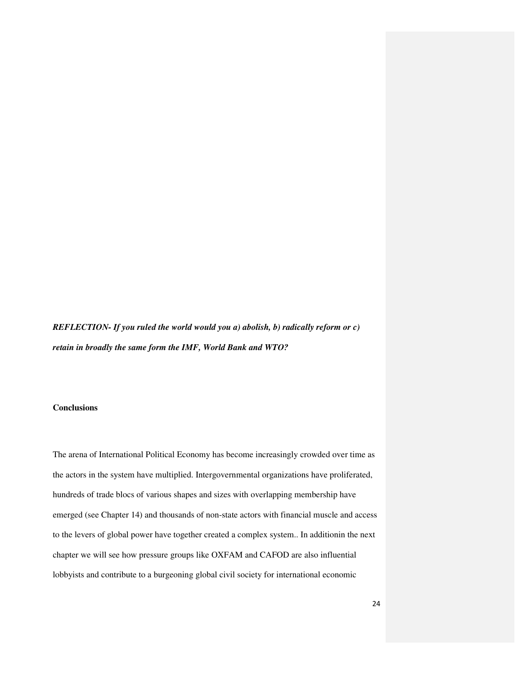*REFLECTION- If you ruled the world would you a) abolish, b) radically reform or c) retain in broadly the same form the IMF, World Bank and WTO?* 

# **Conclusions**

 The arena of International Political Economy has become increasingly crowded over time as the actors in the system have multiplied. Intergovernmental organizations have proliferated, hundreds of trade blocs of various shapes and sizes with overlapping membership have emerged (see Chapter 14) and thousands of non-state actors with financial muscle and access to the levers of global power have together created a complex system.. In additionin the next chapter we will see how pressure groups like OXFAM and CAFOD are also influential lobbyists and contribute to a burgeoning global civil society for international economic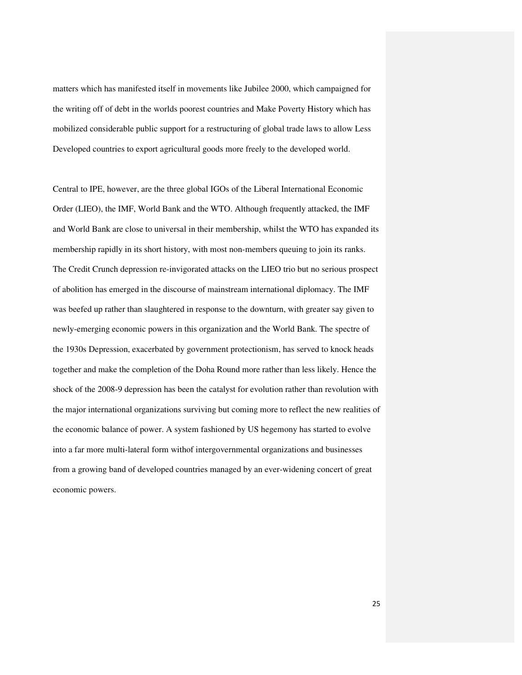matters which has manifested itself in movements like Jubilee 2000, which campaigned for the writing off of debt in the worlds poorest countries and Make Poverty History which has mobilized considerable public support for a restructuring of global trade laws to allow Less Developed countries to export agricultural goods more freely to the developed world.

 Central to IPE, however, are the three global IGOs of the Liberal International Economic Order (LIEO), the IMF, World Bank and the WTO. Although frequently attacked, the IMF and World Bank are close to universal in their membership, whilst the WTO has expanded its membership rapidly in its short history, with most non-members queuing to join its ranks. The Credit Crunch depression re-invigorated attacks on the LIEO trio but no serious prospect of abolition has emerged in the discourse of mainstream international diplomacy. The IMF was beefed up rather than slaughtered in response to the downturn, with greater say given to newly-emerging economic powers in this organization and the World Bank. The spectre of the 1930s Depression, exacerbated by government protectionism, has served to knock heads together and make the completion of the Doha Round more rather than less likely. Hence the shock of the 2008-9 depression has been the catalyst for evolution rather than revolution with the major international organizations surviving but coming more to reflect the new realities of the economic balance of power. A system fashioned by US hegemony has started to evolve into a far more multi-lateral form withof intergovernmental organizations and businesses from a growing band of developed countries managed by an ever-widening concert of great economic powers.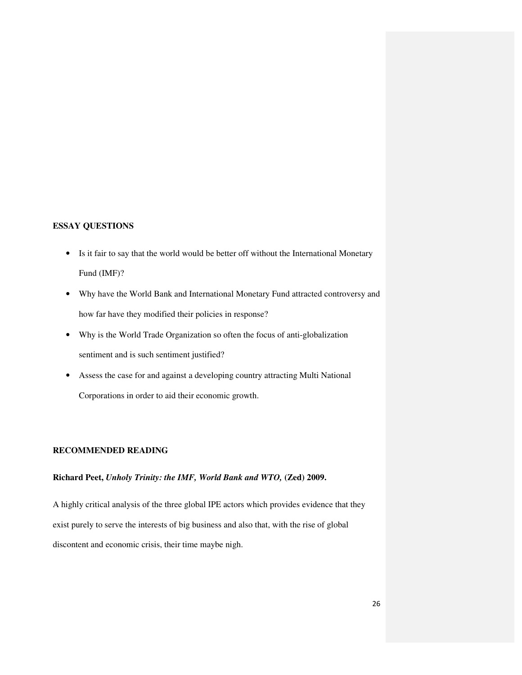# **ESSAY QUESTIONS**

- Is it fair to say that the world would be better off without the International Monetary Fund (IMF)?
- Why have the World Bank and International Monetary Fund attracted controversy and how far have they modified their policies in response?
- Why is the World Trade Organization so often the focus of anti-globalization sentiment and is such sentiment justified?
- Assess the case for and against a developing country attracting Multi National Corporations in order to aid their economic growth.

# **RECOMMENDED READING**

# **Richard Peet,** *Unholy Trinity: the IMF, World Bank and WTO,* **(Zed) 2009.**

A highly critical analysis of the three global IPE actors which provides evidence that they exist purely to serve the interests of big business and also that, with the rise of global discontent and economic crisis, their time maybe nigh.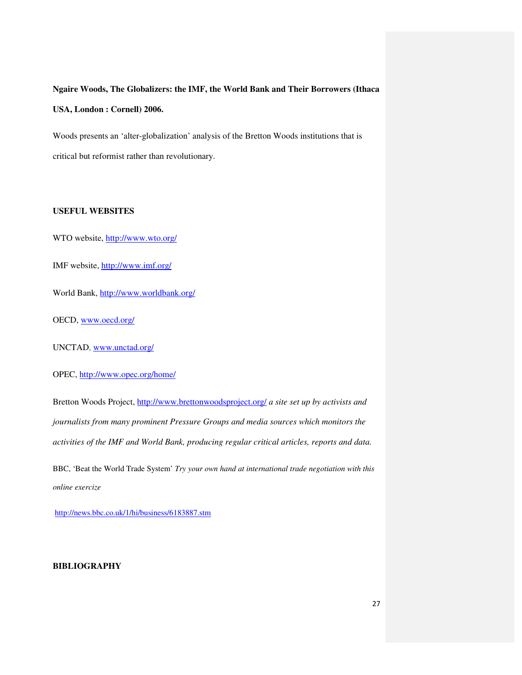**Ngaire Woods, The Globalizers: the IMF, the World Bank and Their Borrowers (Ithaca USA, London : Cornell) 2006.** 

Woods presents an 'alter-globalization' analysis of the Bretton Woods institutions that is critical but reformist rather than revolutionary.

# **USEFUL WEBSITES**

WTO website, http://www.wto.org/

IMF website, http://www.imf.org/

World Bank, http://www.worldbank.org/

OECD, www.oecd.org/

UNCTAD, www.unctad.org/

OPEC, http://www.opec.org/home/

Bretton Woods Project, http://www.brettonwoodsproject.org/ *a site set up by activists and journalists from many prominent Pressure Groups and media sources which monitors the activities of the IMF and World Bank, producing regular critical articles, reports and data.* 

BBC, 'Beat the World Trade System' *Try your own hand at international trade negotiation with this online exercize* 

http://news.bbc.co.uk/1/hi/business/6183887.stm

### **BIBLIOGRAPHY**